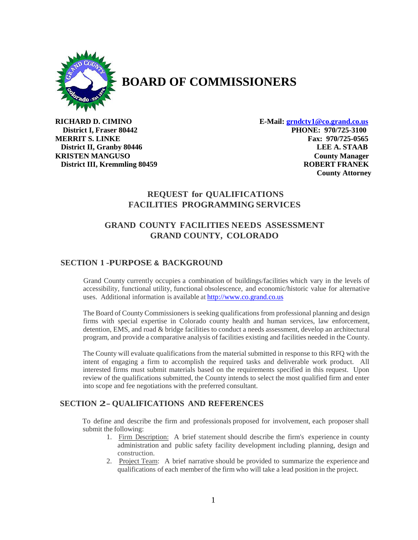

# **BOARD OF COMMISSIONERS**

**RICHARD D. CIMINO E-Mail: [grndcty1@co.grand.co.us](mailto:grndcty1@co.grand.co.us) District I, Fraser 80442 PHONE: 970/725-3100 MERRIT S. LINKE** Fax: 970/725-0565  **District II, Granby 80446 LEE A. STAAB KRISTEN MANGUSO County Manager District III, Kremmling 80459 ROBERT FRANEK County Attorney**

# **REQUEST for QUALIFICATIONS FACILITIES PROGRAMMING SERVICES**

# **GRAND COUNTY FACILITIES NEEDS ASSESSMENT GRAND COUNTY, COLORADO**

# **SECTION 1 -PURPOSE & BACKGROUND**

Grand County currently occupies a combination of buildings/facilities which vary in the levels of accessibility, functional utility, functional obsolescence, and economic/historic value for alternative uses. Additional information is available at [http://www.co.grand.co.us](http://www.co.grand.co.us/)

The Board of County Commissioners is seeking qualifications from professional planning and design firms with special expertise in Colorado county health and human services, law enforcement, detention, EMS, and road & bridge facilities to conduct a needs assessment, develop an architectural program, and provide a comparative analysis of facilities existing and facilities needed in the County.

The County will evaluate qualifications from the material submitted in response to this RFQ with the intent of engaging a firm to accomplish the required tasks and deliverable work product. All interested firms must submit materials based on the requirements specified in this request. Upon review of the qualifications submitted, the County intends to select the most qualified firm and enter into scope and fee negotiations with the preferred consultant.

# **SECTION 2-QUALIFICATIONS AND REFERENCES**

To define and describe the firm and professionals proposed for involvement, each proposer shall submit the following:

- 1. Firm Description: A brief statement should describe the firm's experience in county administration and public safety facility development including planning, design and construction.
- 2. Project Team: A brief narrative should be provided to summarize the experience and qualifications of each member of the firm who will take a lead position in the project.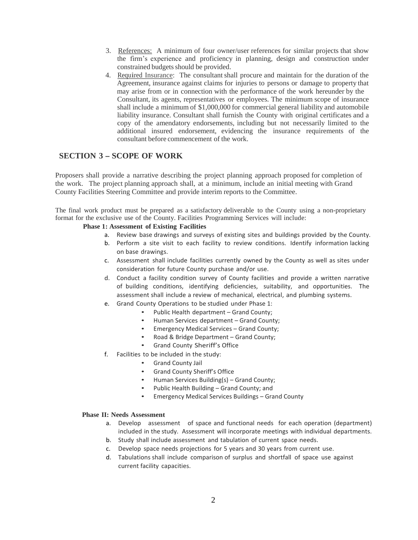- 3. References: A minimum of four owner/user references for similar projects that show the firm's experience and proficiency in planning, design and construction under constrained budgets should be provided.
- 4. Required Insurance: The consultant shall procure and maintain for the duration of the Agreement, insurance against claims for injuries to persons or damage to property that may arise from or in connection with the performance of the work hereunder by the Consultant, its agents, representatives or employees. The minimum scope of insurance shall include a minimum of \$1,000,000 for commercial general liability and automobile liability insurance. Consultant shall furnish the County with original certificates and a copy of the amendatory endorsements, including but not necessarily limited to the additional insured endorsement, evidencing the insurance requirements of the consultant before commencement of the work.

# **SECTION <sup>3</sup> - SCOPE OF WORK**

Proposers shall provide a narrative describing the project planning approach proposed for completion of the work. The project planning approach shall, at a minimum, include an initial meeting with Grand County Facilities Steering Committee and provide interim reports to the Committee.

The final work product must be prepared as a satisfactory deliverable to the County using a non-proprietary format for the exclusive use of the County. Facilities Programming Services will include:

### **Phase 1: Assessment of Existing Facilities**

- a. Review base drawings and surveys of existing sites and buildings provided by the County.
- b. Perform a site visit to each facility to review conditions. Identify information lacking on base drawings.
- c. Assessment shall include facilities currently owned by the County as well as sites under consideration for future County purchase and/or use.
- d. Conduct a facility condition survey of County facilities and provide a written narrative of building conditions, identifying deficiencies, suitability, and opportunities. The assessment shall include a review of mechanical, electrical, and plumbing systems.
- e. Grand County Operations to be studied under Phase 1:
	- Public Health department Grand County;
	- Human Services department Grand County;<br>• Fmergency Medical Services Grand County;
	- Emergency Medical Services Grand County;
	- Road & Bridge Department Grand County;
	- Grand County Sheriff's Office
- f. Facilities to be included in the study:
	- Grand County Jail
	- Grand County Sheriff's Office
	- Human Services Building(s) Grand County;
	- Public Health Building Grand County; and
	- Emergency Medical Services Buildings Grand County

#### **Phase II: Needs Assessment**

- a. Develop assessment of space and functional needs for each operation (department) included in the study. Assessment will incorporate meetings with individual departments.
- b. Study shall include assessment and tabulation of current space needs.
- c. Develop space needs projections for 5 years and 30 years from current use.
- d. Tabulations shall include comparison of surplus and shortfall of space use against current facility capacities.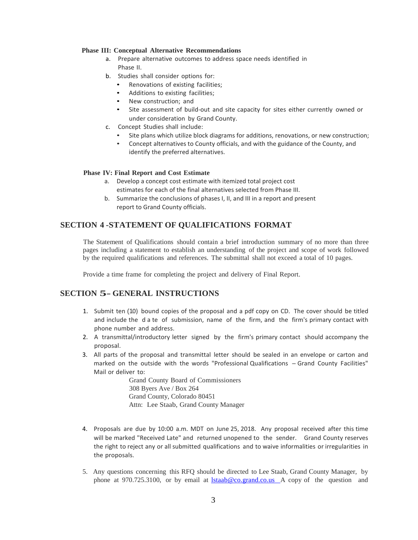#### **Phase III: Conceptual Alternative Recommendations**

- a. Prepare alternative outcomes to address space needs identified in Phase II.
- b. Studies shall consider options for:
	- Renovations of existing facilities;
	- Additions to existing facilities;
	- New construction; and
	- Site assessment of build-out and site capacity for sites either currently owned or under consideration by Grand County.
- c. Concept Studies shall include:
	- Site plans which utilize block diagrams for additions, renovations, or new construction;
	- Concept alternatives to County officials, and with the guidance of the County, and identify the preferred alternatives.

#### **Phase IV: Final Report and Cost Estimate**

- a. Develop a concept cost estimate with itemized total project cost estimates for each of the final alternatives selected from Phase III.
- b. Summarize the conclusions of phases I, II, and III in a report and present report to Grand County officials.

### **SECTION 4 -STATEMENT OF QUALIFICATIONS FORMAT**

The Statement of Qualifications should contain a brief introduction summary of no more than three pages including a statement to establish an understanding of the project and scope of work followed by the required qualifications and references. The submittal shall not exceed a total of 10 pages.

Provide a time frame for completing the project and delivery of Final Report.

# **SECTION 5- GENERAL INSTRUCTIONS**

- 1. Submit ten (10) bound copies of the proposal and a pdf copy on CD. The cover should be titled and include the d a te of submission, name of the firm, and the firm's primary contact with phone number and address.
- 2. A transmittal/introductory letter signed by the firm's primary contact should accompany the proposal.
- 3. All parts of the proposal and transmittal letter should be sealed in an envelope or carton and marked on the outside with the words "Professional Qualifications - Grand County Facilities" Mail or deliver to:

Grand County Board of Commissioners 308 Byers Ave / Box 264 Grand County, Colorado 80451 Attn: Lee Staab, Grand County Manager

- 4. Proposals are due by 10:00 a.m. MDT on June 25, 2018. Any proposal received after this time will be marked "Received Late" and returned unopened to the sender. Grand County reserves the right to reject any or all submitted qualifications and to waive informalities or irregularities in the proposals.
- 5. Any questions concerning this RFQ should be directed to Lee Staab, Grand County Manager, by phone at 970.725.3100, or by email at <u>Istaab@co.grand.co.us</u> A copy of the question and